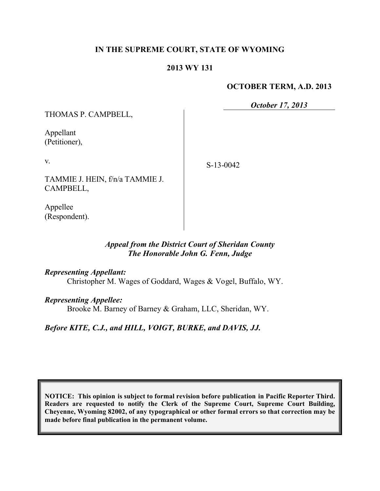## **IN THE SUPREME COURT, STATE OF WYOMING**

## **2013 WY 131**

#### **OCTOBER TERM, A.D. 2013**

*October 17, 2013*

THOMAS P. CAMPBELL,

Appellant (Petitioner),

v.

TAMMIE J. HEIN, f/n/a TAMMIE J. CAMPBELL,

Appellee (Respondent). S-13-0042

# *Appeal from the District Court of Sheridan County The Honorable John G. Fenn, Judge*

#### *Representing Appellant:*

Christopher M. Wages of Goddard, Wages & Vogel, Buffalo, WY.

#### *Representing Appellee:*

Brooke M. Barney of Barney & Graham, LLC, Sheridan, WY.

# *Before KITE, C.J., and HILL, VOIGT, BURKE, and DAVIS, JJ.*

**NOTICE: This opinion is subject to formal revision before publication in Pacific Reporter Third. Readers are requested to notify the Clerk of the Supreme Court, Supreme Court Building, Cheyenne, Wyoming 82002, of any typographical or other formal errors so that correction may be made before final publication in the permanent volume.**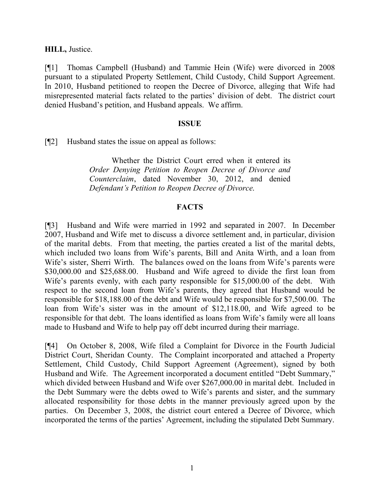**HILL,** Justice.

[¶1] Thomas Campbell (Husband) and Tammie Hein (Wife) were divorced in 2008 pursuant to a stipulated Property Settlement, Child Custody, Child Support Agreement. In 2010, Husband petitioned to reopen the Decree of Divorce, alleging that Wife had misrepresented material facts related to the parties' division of debt. The district court denied Husband's petition, and Husband appeals. We affirm.

#### **ISSUE**

[¶2] Husband states the issue on appeal as follows:

Whether the District Court erred when it entered its *Order Denying Petition to Reopen Decree of Divorce and Counterclaim*, dated November 30, 2012, and denied *Defendant's Petition to Reopen Decree of Divorce*.

## **FACTS**

[¶3] Husband and Wife were married in 1992 and separated in 2007. In December 2007, Husband and Wife met to discuss a divorce settlement and, in particular, division of the marital debts. From that meeting, the parties created a list of the marital debts, which included two loans from Wife's parents, Bill and Anita Wirth, and a loan from Wife's sister, Sherri Wirth. The balances owed on the loans from Wife's parents were \$30,000.00 and \$25,688.00. Husband and Wife agreed to divide the first loan from Wife's parents evenly, with each party responsible for \$15,000.00 of the debt. With respect to the second loan from Wife's parents, they agreed that Husband would be responsible for \$18,188.00 of the debt and Wife would be responsible for \$7,500.00. The loan from Wife's sister was in the amount of \$12,118.00, and Wife agreed to be responsible for that debt. The loans identified as loans from Wife's family were all loans made to Husband and Wife to help pay off debt incurred during their marriage.

[¶4] On October 8, 2008, Wife filed a Complaint for Divorce in the Fourth Judicial District Court, Sheridan County. The Complaint incorporated and attached a Property Settlement, Child Custody, Child Support Agreement (Agreement), signed by both Husband and Wife. The Agreement incorporated a document entitled "Debt Summary," which divided between Husband and Wife over \$267,000.00 in marital debt. Included in the Debt Summary were the debts owed to Wife's parents and sister, and the summary allocated responsibility for those debts in the manner previously agreed upon by the parties. On December 3, 2008, the district court entered a Decree of Divorce, which incorporated the terms of the parties' Agreement, including the stipulated Debt Summary.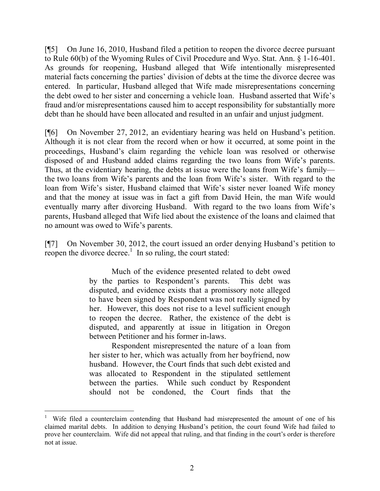[¶5] On June 16, 2010, Husband filed a petition to reopen the divorce decree pursuant to Rule 60(b) of the Wyoming Rules of Civil Procedure and Wyo. Stat. Ann. § 1-16-401. As grounds for reopening, Husband alleged that Wife intentionally misrepresented material facts concerning the parties' division of debts at the time the divorce decree was entered. In particular, Husband alleged that Wife made misrepresentations concerning the debt owed to her sister and concerning a vehicle loan. Husband asserted that Wife's fraud and/or misrepresentations caused him to accept responsibility for substantially more debt than he should have been allocated and resulted in an unfair and unjust judgment.

[¶6] On November 27, 2012, an evidentiary hearing was held on Husband's petition. Although it is not clear from the record when or how it occurred, at some point in the proceedings, Husband's claim regarding the vehicle loan was resolved or otherwise disposed of and Husband added claims regarding the two loans from Wife's parents. Thus, at the evidentiary hearing, the debts at issue were the loans from Wife's family the two loans from Wife's parents and the loan from Wife's sister. With regard to the loan from Wife's sister, Husband claimed that Wife's sister never loaned Wife money and that the money at issue was in fact a gift from David Hein, the man Wife would eventually marry after divorcing Husband. With regard to the two loans from Wife's parents, Husband alleged that Wife lied about the existence of the loans and claimed that no amount was owed to Wife's parents.

[¶7] On November 30, 2012, the court issued an order denying Husband's petition to reopen the divorce decree.<sup>1</sup> In so ruling, the court stated:

> Much of the evidence presented related to debt owed by the parties to Respondent's parents. This debt was disputed, and evidence exists that a promissory note alleged to have been signed by Respondent was not really signed by her. However, this does not rise to a level sufficient enough to reopen the decree. Rather, the existence of the debt is disputed, and apparently at issue in litigation in Oregon between Petitioner and his former in-laws.

> Respondent misrepresented the nature of a loan from her sister to her, which was actually from her boyfriend, now husband. However, the Court finds that such debt existed and was allocated to Respondent in the stipulated settlement between the parties. While such conduct by Respondent should not be condoned, the Court finds that the

 $\overline{a}$ 

<sup>1</sup> Wife filed a counterclaim contending that Husband had misrepresented the amount of one of his claimed marital debts. In addition to denying Husband's petition, the court found Wife had failed to prove her counterclaim. Wife did not appeal that ruling, and that finding in the court's order is therefore not at issue.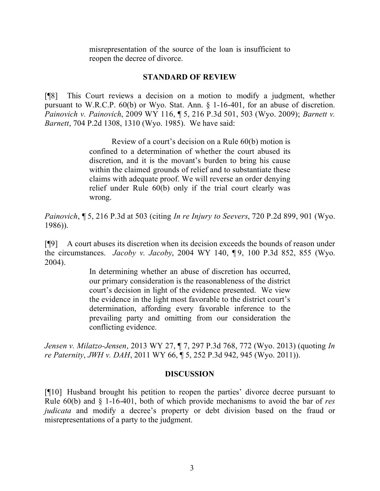misrepresentation of the source of the loan is insufficient to reopen the decree of divorce.

#### **STANDARD OF REVIEW**

[¶8] This Court reviews a decision on a motion to modify a judgment, whether pursuant to W.R.C.P. 60(b) or Wyo. Stat. Ann. § 1-16-401, for an abuse of discretion. *Painovich v. Painovich*, 2009 WY 116, ¶ 5, 216 P.3d 501, 503 (Wyo. 2009); *Barnett v. Barnett*, 704 P.2d 1308, 1310 (Wyo. 1985). We have said:

> Review of a court's decision on a Rule 60(b) motion is confined to a determination of whether the court abused its discretion, and it is the movant's burden to bring his cause within the claimed grounds of relief and to substantiate these claims with adequate proof. We will reverse an order denying relief under Rule 60(b) only if the trial court clearly was wrong.

*Painovich*, ¶ 5, 216 P.3d at 503 (citing *In re Injury to Seevers*, 720 P.2d 899, 901 (Wyo. 1986)).

[¶9] A court abuses its discretion when its decision exceeds the bounds of reason under the circumstances. *Jacoby v. Jacoby*, 2004 WY 140, ¶ 9, 100 P.3d 852, 855 (Wyo. 2004).

> In determining whether an abuse of discretion has occurred, our primary consideration is the reasonableness of the district court's decision in light of the evidence presented. We view the evidence in the light most favorable to the district court's determination, affording every favorable inference to the prevailing party and omitting from our consideration the conflicting evidence.

*Jensen v. Milatzo-Jensen*, 2013 WY 27, ¶ 7, 297 P.3d 768, 772 (Wyo. 2013) (quoting *In re Paternity*, *JWH v. DAH*, 2011 WY 66, ¶ 5, 252 P.3d 942, 945 (Wyo. 2011)).

#### **DISCUSSION**

[¶10] Husband brought his petition to reopen the parties' divorce decree pursuant to Rule 60(b) and § 1-16-401, both of which provide mechanisms to avoid the bar of *res judicata* and modify a decree's property or debt division based on the fraud or misrepresentations of a party to the judgment.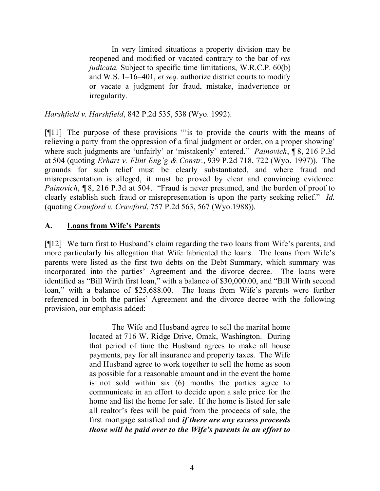In very limited situations a property division may be reopened and modified or vacated contrary to the bar of *res judicata.* Subject to specific time limitations, W.R.C.P. 60(b) and W.S. 1–16–401, *et seq.* authorize district courts to modify or vacate a judgment for fraud, mistake, inadvertence or irregularity.

*Harshfield v. Harshfield*, 842 P.2d 535, 538 (Wyo. 1992).

[¶11] The purpose of these provisions "'is to provide the courts with the means of relieving a party from the oppression of a final judgment or order, on a proper showing' where such judgments are 'unfairly' or 'mistakenly' entered." *Painovich*, ¶ 8, 216 P.3d at 504 (quoting *Erhart v. Flint Eng'g & Constr.*, 939 P.2d 718, 722 (Wyo. 1997)). The grounds for such relief must be clearly substantiated, and where fraud and misrepresentation is alleged, it must be proved by clear and convincing evidence. *Painovich*, **[8, 216 P.3d at 504.** "Fraud is never presumed, and the burden of proof to clearly establish such fraud or misrepresentation is upon the party seeking relief." *Id.* (quoting *Crawford v. Crawford*, 757 P.2d 563, 567 (Wyo.1988)).

## **A. Loans from Wife's Parents**

[¶12] We turn first to Husband's claim regarding the two loans from Wife's parents, and more particularly his allegation that Wife fabricated the loans. The loans from Wife's parents were listed as the first two debts on the Debt Summary, which summary was incorporated into the parties' Agreement and the divorce decree. The loans were identified as "Bill Wirth first loan," with a balance of \$30,000.00, and "Bill Wirth second loan," with a balance of \$25,688.00. The loans from Wife's parents were further referenced in both the parties' Agreement and the divorce decree with the following provision, our emphasis added:

> The Wife and Husband agree to sell the marital home located at 716 W. Ridge Drive, Omak, Washington. During that period of time the Husband agrees to make all house payments, pay for all insurance and property taxes. The Wife and Husband agree to work together to sell the home as soon as possible for a reasonable amount and in the event the home is not sold within six (6) months the parties agree to communicate in an effort to decide upon a sale price for the home and list the home for sale. If the home is listed for sale all realtor's fees will be paid from the proceeds of sale, the first mortgage satisfied and *if there are any excess proceeds those will be paid over to the Wife's parents in an effort to*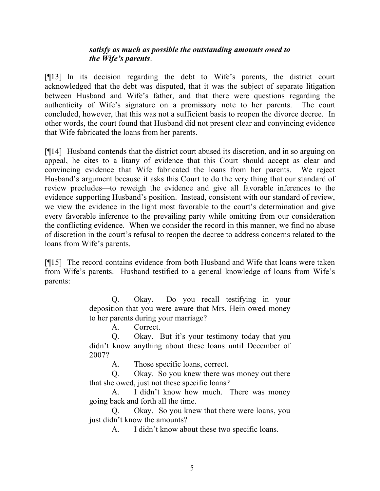## *satisfy as much as possible the outstanding amounts owed to the Wife's parents*.

[¶13] In its decision regarding the debt to Wife's parents, the district court acknowledged that the debt was disputed, that it was the subject of separate litigation between Husband and Wife's father, and that there were questions regarding the authenticity of Wife's signature on a promissory note to her parents. The court concluded, however, that this was not a sufficient basis to reopen the divorce decree. In other words, the court found that Husband did not present clear and convincing evidence that Wife fabricated the loans from her parents.

[¶14] Husband contends that the district court abused its discretion, and in so arguing on appeal, he cites to a litany of evidence that this Court should accept as clear and convincing evidence that Wife fabricated the loans from her parents. We reject Husband's argument because it asks this Court to do the very thing that our standard of review precludes—to reweigh the evidence and give all favorable inferences to the evidence supporting Husband's position. Instead, consistent with our standard of review, we view the evidence in the light most favorable to the court's determination and give every favorable inference to the prevailing party while omitting from our consideration the conflicting evidence. When we consider the record in this manner, we find no abuse of discretion in the court's refusal to reopen the decree to address concerns related to the loans from Wife's parents.

[¶15] The record contains evidence from both Husband and Wife that loans were taken from Wife's parents. Husband testified to a general knowledge of loans from Wife's parents:

> Q. Okay. Do you recall testifying in your deposition that you were aware that Mrs. Hein owed money to her parents during your marriage?

> > A. Correct.

Q. Okay. But it's your testimony today that you didn't know anything about these loans until December of 2007?

A. Those specific loans, correct.

Q. Okay. So you knew there was money out there that she owed, just not these specific loans?

A. I didn't know how much. There was money going back and forth all the time.

Q. Okay. So you knew that there were loans, you just didn't know the amounts?

A. I didn't know about these two specific loans.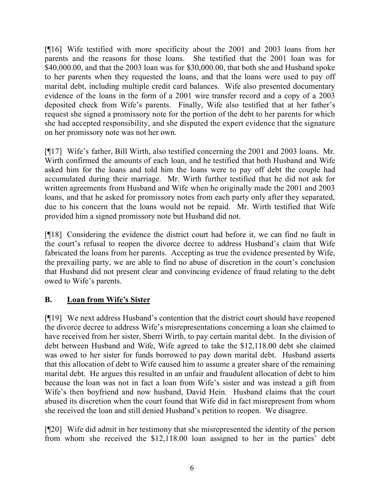[¶16] Wife testified with more specificity about the 2001 and 2003 loans from her parents and the reasons for those loans. She testified that the 2001 loan was for \$40,000.00, and that the 2003 loan was for \$30,000.00, that both she and Husband spoke to her parents when they requested the loans, and that the loans were used to pay off marital debt, including multiple credit card balances. Wife also presented documentary evidence of the loans in the form of a 2001 wire transfer record and a copy of a 2003 deposited check from Wife's parents. Finally, Wife also testified that at her father's request she signed a promissory note for the portion of the debt to her parents for which she had accepted responsibility, and she disputed the expert evidence that the signature on her promissory note was not her own.

[¶17] Wife's father, Bill Wirth, also testified concerning the 2001 and 2003 loans. Mr. Wirth confirmed the amounts of each loan, and he testified that both Husband and Wife asked him for the loans and told him the loans were to pay off debt the couple had accumulated during their marriage. Mr. Wirth further testified that he did not ask for written agreements from Husband and Wife when he originally made the 2001 and 2003 loans, and that he asked for promissory notes from each party only after they separated, due to his concern that the loans would not be repaid. Mr. Wirth testified that Wife provided him a signed promissory note but Husband did not.

[¶18] Considering the evidence the district court had before it, we can find no fault in the court's refusal to reopen the divorce decree to address Husband's claim that Wife fabricated the loans from her parents. Accepting as true the evidence presented by Wife, the prevailing party, we are able to find no abuse of discretion in the court's conclusion that Husband did not present clear and convincing evidence of fraud relating to the debt owed to Wife's parents.

# **B. Loan from Wife's Sister**

[¶19] We next address Husband's contention that the district court should have reopened the divorce decree to address Wife's misrepresentations concerning a loan she claimed to have received from her sister, Sherri Wirth, to pay certain marital debt. In the division of debt between Husband and Wife, Wife agreed to take the \$12,118.00 debt she claimed was owed to her sister for funds borrowed to pay down marital debt. Husband asserts that this allocation of debt to Wife caused him to assume a greater share of the remaining marital debt. He argues this resulted in an unfair and fraudulent allocation of debt to him because the loan was not in fact a loan from Wife's sister and was instead a gift from Wife's then boyfriend and now husband, David Hein. Husband claims that the court abused its discretion when the court found that Wife did in fact misrepresent from whom she received the loan and still denied Husband's petition to reopen. We disagree.

[¶20] Wife did admit in her testimony that she misrepresented the identity of the person from whom she received the \$12,118.00 loan assigned to her in the parties' debt